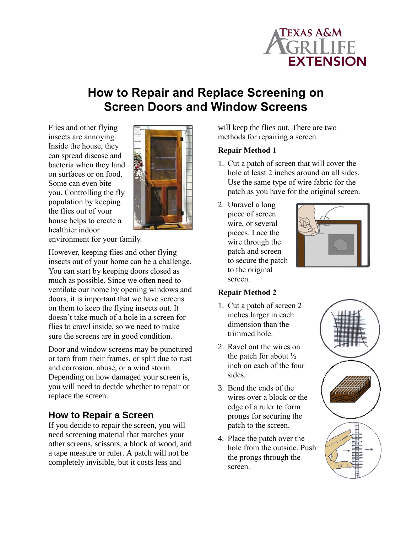

# **How to Repair and Replace Screening on Screen Doors and Window Screens**

Flies and other flying insects are annoying. Inside the house, they can spread disease and bacteria when they land on surfaces or on food. Some can even bite you. Controlling the fly population by keeping the flies out of your house helps to create a healthier indoor



environment for your family.

However, keeping flies and other flying insects out of your home can be a challenge. You can start by keeping doors closed as much as possible. Since we often need to ventilate our home by opening windows and doors, it is important that we have screens on them to keep the flying insects out. It doesn't take much of a hole in a screen for flies to crawl inside, so we need to make sure the screens are in good condition.

Door and window screens may be punctured or torn from their frames, or split due to rust and corrosion, abuse, or a wind storm. Depending on how damaged your screen is, you will need to decide whether to repair or replace the screen.

### **How to Repair a Screen**

If you decide to repair the screen, you will need screening material that matches your other screens, scissors, a block of wood, and a tape measure or ruler. A patch will not be completely invisible, but it costs less and

will keep the flies out. There are two methods for repairing a screen.

#### **Repair Method 1**

- 1. Cut a patch of screen that will cover the hole at least 2 inches around on all sides. Use the same type of wire fabric for the patch as you have for the original screen.
- 2. Unravel a long piece of screen wire, or several pieces. Lace the wire through the patch and screen to secure the patch to the original screen.



#### **Repair Method 2**

- 1. Cut a patch of screen 2 inches larger in each dimension than the trimmed hole.
- 2. Ravel out the wires on the patch for about  $\frac{1}{2}$ inch on each of the four sides.
- 3. Bend the ends of the wires over a block or the edge of a ruler to form prongs for securing the patch to the screen.
- 4. Place the patch over the hole from the outside. Push the prongs through the screen.

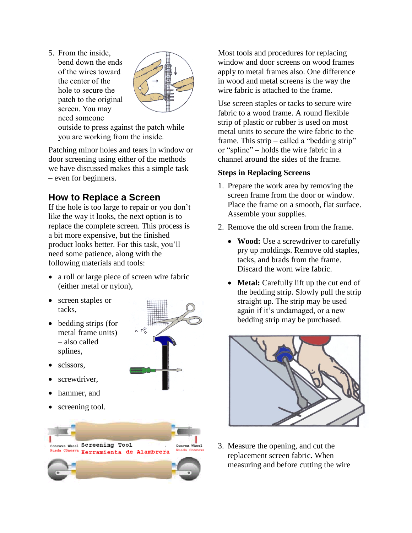- 5. From the inside,
- bend down the ends of the wires toward the center of the hole to secure the patch to the original screen. You may need someone



outside to press against the patch while you are working from the inside.

Patching minor holes and tears in window or door screening using either of the methods we have discussed makes this a simple task – even for beginners.

## **How to Replace a Screen**

If the hole is too large to repair or you don't like the way it looks, the next option is to replace the complete screen. This process is a bit more expensive, but the finished product looks better. For this task, you'll need some patience, along with the following materials and tools:

 a roll or large piece of screen wire fabric (either metal or nylon),

 $\tilde{c}$ 

- screen staples or tacks,
- bedding strips (for metal frame units) – also called splines,
- scissors,
- screwdriver,
- hammer, and
- screening tool.



Most tools and procedures for replacing window and door screens on wood frames apply to metal frames also. One difference in wood and metal screens is the way the wire fabric is attached to the frame.

Use screen staples or tacks to secure wire fabric to a wood frame. A round flexible strip of plastic or rubber is used on most metal units to secure the wire fabric to the frame. This strip – called a "bedding strip" or "spline" – holds the wire fabric in a channel around the sides of the frame.

#### **Steps in Replacing Screens**

- 1. Prepare the work area by removing the screen frame from the door or window. Place the frame on a smooth, flat surface. Assemble your supplies.
- 2. Remove the old screen from the frame.
	- **Wood:** Use a screwdriver to carefully pry up moldings. Remove old staples, tacks, and brads from the frame. Discard the worn wire fabric.
	- **Metal:** Carefully lift up the cut end of the bedding strip. Slowly pull the strip straight up. The strip may be used again if it's undamaged, or a new bedding strip may be purchased.



3. Measure the opening, and cut the replacement screen fabric. When measuring and before cutting the wire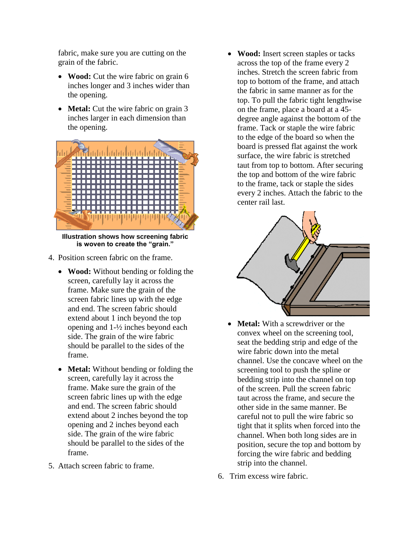fabric, make sure you are cutting on the grain of the fabric.

- **Wood:** Cut the wire fabric on grain 6 inches longer and 3 inches wider than the opening.
- **Metal:** Cut the wire fabric on grain 3 inches larger in each dimension than the opening.



**Illustration shows how screening fabric is woven to create the "grain."**

- 4. Position screen fabric on the frame.
	- **Wood:** Without bending or folding the screen, carefully lay it across the frame. Make sure the grain of the screen fabric lines up with the edge and end. The screen fabric should extend about 1 inch beyond the top opening and 1-½ inches beyond each side. The grain of the wire fabric should be parallel to the sides of the frame.
	- **Metal:** Without bending or folding the screen, carefully lay it across the frame. Make sure the grain of the screen fabric lines up with the edge and end. The screen fabric should extend about 2 inches beyond the top opening and 2 inches beyond each side. The grain of the wire fabric should be parallel to the sides of the frame.
- 5. Attach screen fabric to frame.

 **Wood:** Insert screen staples or tacks across the top of the frame every 2 inches. Stretch the screen fabric from top to bottom of the frame, and attach the fabric in same manner as for the top. To pull the fabric tight lengthwise on the frame, place a board at a 45 degree angle against the bottom of the frame. Tack or staple the wire fabric to the edge of the board so when the board is pressed flat against the work surface, the wire fabric is stretched taut from top to bottom. After securing the top and bottom of the wire fabric to the frame, tack or staple the sides every 2 inches. Attach the fabric to the center rail last.



- **Metal:** With a screwdriver or the convex wheel on the screening tool, seat the bedding strip and edge of the wire fabric down into the metal channel. Use the concave wheel on the screening tool to push the spline or bedding strip into the channel on top of the screen. Pull the screen fabric taut across the frame, and secure the other side in the same manner. Be careful not to pull the wire fabric so tight that it splits when forced into the channel. When both long sides are in position, secure the top and bottom by forcing the wire fabric and bedding strip into the channel.
- 6. Trim excess wire fabric.